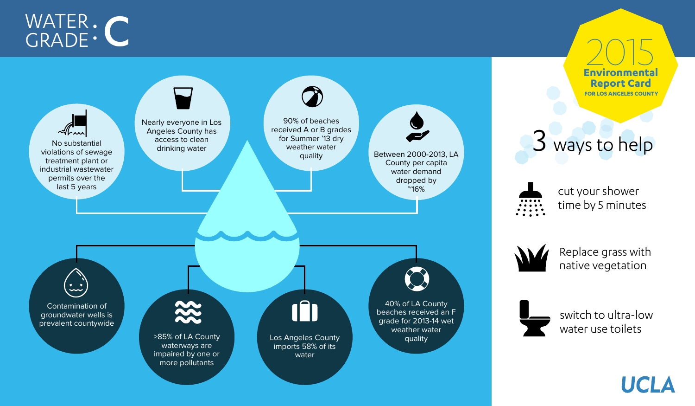

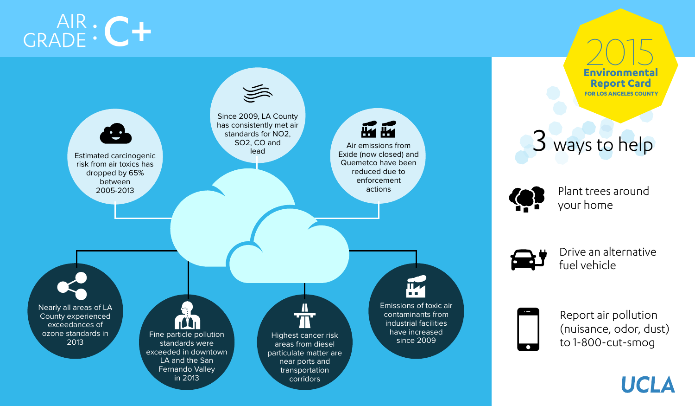# AIR : C+



2015 **Environmental FOR LOS ANGELES COUNTY Report Card**

#### 3 ways to help



your home



Drive an alternative fuel vehicle

Report air pollution (nuisance, odor, dust) to 1-800-cut-smog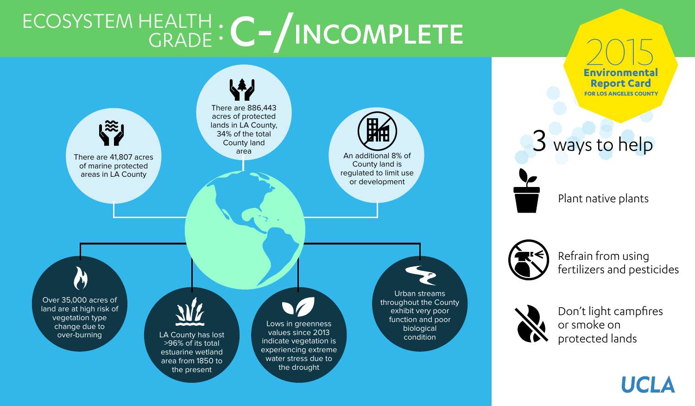### ECOSYSTEM HEALTH : C-/ INCOMPLETE 2015

**FOR LOS ANGELES COUNTY Environmental Report Card**



3 ways to help

Plant native plants



Refrain from using fertilizers and pesticides



Don't light campfires or smoke on protected lands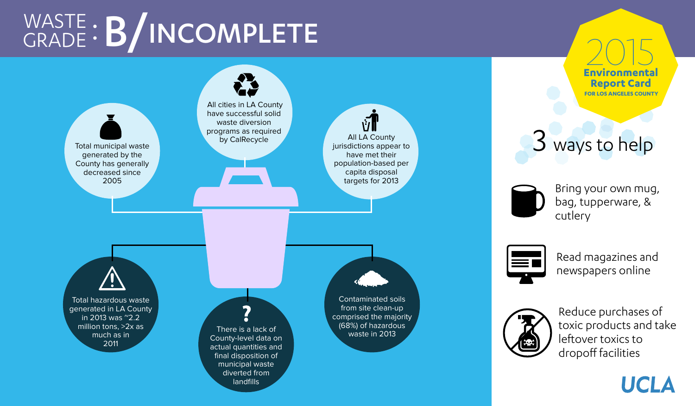### WASTE : **B/** INCOMPLETE 2015



**FOR LOS ANGELES COUNTY Environmental Report Card**





Bring your own mug, bag, tupperware, & cutlery



Read magazines and newspapers online



Reduce purchases of toxic products and take leftover toxics to dropoff facilities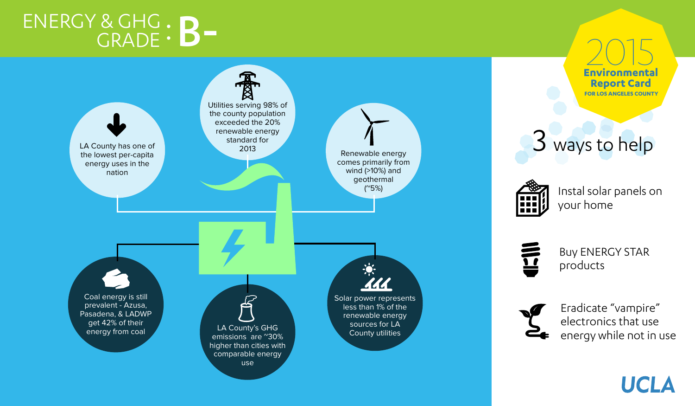#### ENERGY & GHG & CHC . B-<br>GRADE : B-



2015 **Environmental FOR LOS ANGELES COUNTY Report Card**





Instal solar panels on your home



Buy ENERGY STAR products



Eradicate "vampire" electronics that use energy while not in use